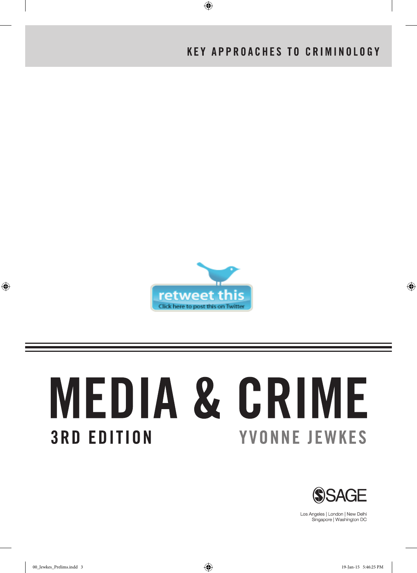



 $\bigoplus$ 

# **MEDIA & CRIME 3RD EDITION YVONNE JEWKES**



Los Angeles | London | New Delhi Singapore | Washington DC

 $\bigoplus$ 

 $\bigoplus$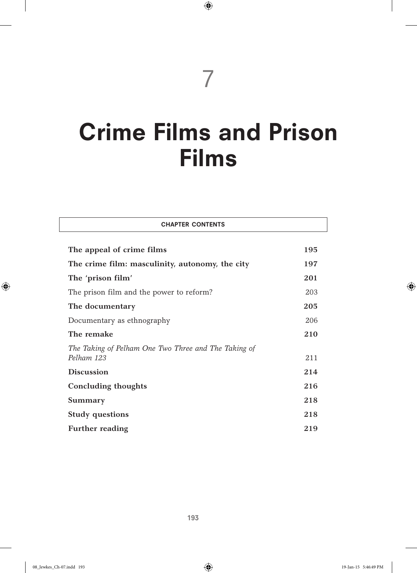# Crime Films and Prison Films

7

 $\bigoplus$ 

| <b>CHAPTER CONTENTS</b>                                            |     |
|--------------------------------------------------------------------|-----|
| The appeal of crime films                                          | 195 |
| The crime film: masculinity, autonomy, the city                    | 197 |
| The 'prison film'                                                  | 201 |
| The prison film and the power to reform?                           | 203 |
| The documentary                                                    | 205 |
| Documentary as ethnography                                         | 206 |
| The remake                                                         | 210 |
| The Taking of Pelham One Two Three and The Taking of<br>Pelham 123 | 211 |
| <b>Discussion</b>                                                  | 214 |
| <b>Concluding thoughts</b>                                         | 216 |
| Summary                                                            | 218 |
| <b>Study questions</b>                                             | 218 |
| <b>Further reading</b>                                             | 219 |

 $\bigoplus$ 

 $\bigoplus$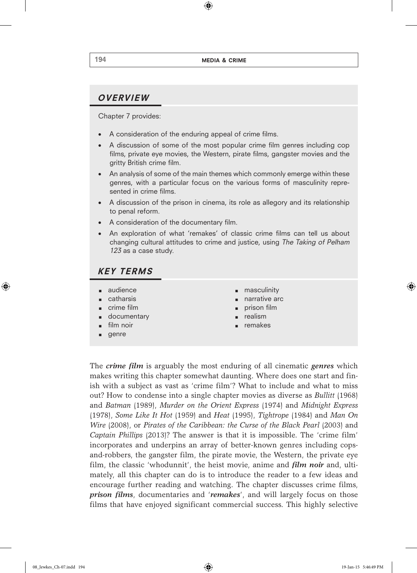#### 194 media & crime media & crime

 $\textcircled{\scriptsize{*}}$ 

# OVERVIEW

Chapter 7 provides:

- A consideration of the enduring appeal of crime films.
- A discussion of some of the most popular crime film genres including cop films, private eye movies, the Western, pirate films, gangster movies and the gritty British crime film.
- An analysis of some of the main themes which commonly emerge within these genres, with a particular focus on the various forms of masculinity represented in crime films.
- A discussion of the prison in cinema, its role as allegory and its relationship to penal reform.
- A consideration of the documentary film.
- An exploration of what 'remakes' of classic crime films can tell us about changing cultural attitudes to crime and justice, using The Taking of Pelham 123 as a case study.

# KEY TERMS

- audience
- catharsis
- crime film
- documentary
- film noir
- genre
- masculinity
- narrative arc
- prison film
- realism
- remakes

The *crime film* is arguably the most enduring of all cinematic *genres* which makes writing this chapter somewhat daunting. Where does one start and finish with a subject as vast as 'crime film'? What to include and what to miss out? How to condense into a single chapter movies as diverse as *Bullitt* (1968) and *Batman* (1989), *Murder on the Orient Express* (1974) and *Midnight Express*  (1978), *Some Like It Hot* (1959) and *Heat* (1995), *Tightrope* (1984) and *Man On Wire* (2008), or *Pirates of the Caribbean: the Curse of the Black Pearl* (2003) and *Captain Phillips* (2013)? The answer is that it is impossible. The 'crime film' incorporates and underpins an array of better-known genres including copsand-robbers, the gangster film, the pirate movie, the Western, the private eye film, the classic 'whodunnit', the heist movie, anime and *film noir* and, ultimately, all this chapter can do is to introduce the reader to a few ideas and encourage further reading and watching. The chapter discusses crime films, *prison films*, documentaries and '*remakes*', and will largely focus on those films that have enjoyed significant commercial success. This highly selective

⊕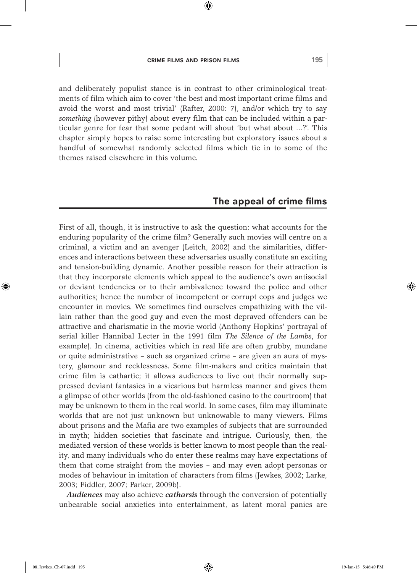⊕

and deliberately populist stance is in contrast to other criminological treatments of film which aim to cover 'the best and most important crime films and avoid the worst and most trivial' (Rafter, 2000: 7), and/or which try to say *something* (however pithy) about every film that can be included within a particular genre for fear that some pedant will shout 'but what about …?'. This chapter simply hopes to raise some interesting but exploratory issues about a handful of somewhat randomly selected films which tie in to some of the themes raised elsewhere in this volume.

# The appeal of crime films

First of all, though, it is instructive to ask the question: what accounts for the enduring popularity of the crime film? Generally such movies will centre on a criminal, a victim and an avenger (Leitch, 2002) and the similarities, differences and interactions between these adversaries usually constitute an exciting and tension-building dynamic. Another possible reason for their attraction is that they incorporate elements which appeal to the audience's own antisocial or deviant tendencies or to their ambivalence toward the police and other authorities; hence the number of incompetent or corrupt cops and judges we encounter in movies. We sometimes find ourselves empathizing with the villain rather than the good guy and even the most depraved offenders can be attractive and charismatic in the movie world (Anthony Hopkins' portrayal of serial killer Hannibal Lecter in the 1991 film *The Silence of the Lambs*, for example). In cinema, activities which in real life are often grubby, mundane or quite administrative – such as organized crime – are given an aura of mystery, glamour and recklessness. Some film-makers and critics maintain that crime film is cathartic; it allows audiences to live out their normally suppressed deviant fantasies in a vicarious but harmless manner and gives them a glimpse of other worlds (from the old-fashioned casino to the courtroom) that may be unknown to them in the real world. In some cases, film may illuminate worlds that are not just unknown but unknowable to many viewers. Films about prisons and the Mafia are two examples of subjects that are surrounded in myth; hidden societies that fascinate and intrigue. Curiously, then, the mediated version of these worlds is better known to most people than the reality, and many individuals who do enter these realms may have expectations of them that come straight from the movies – and may even adopt personas or modes of behaviour in imitation of characters from films (Jewkes, 2002; Larke, 2003; Fiddler, 2007; Parker, 2009b).

*Audiences* may also achieve *catharsis* through the conversion of potentially unbearable social anxieties into entertainment, as latent moral panics are

♠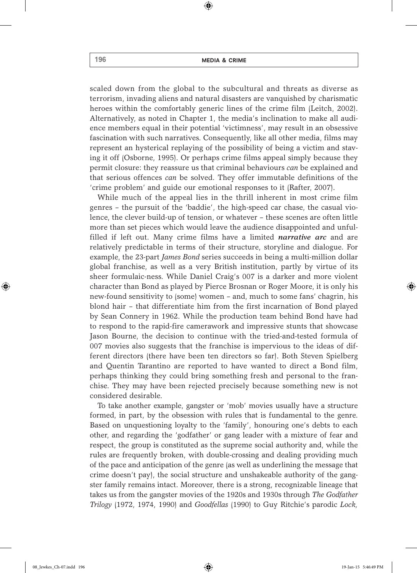#### 196 media and the media of the MEDIA & CRIME

⊕

scaled down from the global to the subcultural and threats as diverse as terrorism, invading aliens and natural disasters are vanquished by charismatic heroes within the comfortably generic lines of the crime film (Leitch, 2002). Alternatively, as noted in Chapter 1, the media's inclination to make all audience members equal in their potential 'victimness', may result in an obsessive fascination with such narratives. Consequently, like all other media, films may represent an hysterical replaying of the possibility of being a victim and staving it off (Osborne, 1995). Or perhaps crime films appeal simply because they permit closure: they reassure us that criminal behaviours *can* be explained and that serious offences *can* be solved. They offer immutable definitions of the 'crime problem' and guide our emotional responses to it (Rafter, 2007).

While much of the appeal lies in the thrill inherent in most crime film genres – the pursuit of the 'baddie', the high-speed car chase, the casual violence, the clever build-up of tension, or whatever – these scenes are often little more than set pieces which would leave the audience disappointed and unfulfilled if left out. Many crime films have a limited *narrative arc* and are relatively predictable in terms of their structure, storyline and dialogue. For example, the 23-part *James Bond* series succeeds in being a multi-million dollar global franchise, as well as a very British institution, partly by virtue of its sheer formulaic-ness. While Daniel Craig's 007 is a darker and more violent character than Bond as played by Pierce Brosnan or Roger Moore, it is only his new-found sensitivity to (some) women – and, much to some fans' chagrin, his blond hair – that differentiate him from the first incarnation of Bond played by Sean Connery in 1962. While the production team behind Bond have had to respond to the rapid-fire camerawork and impressive stunts that showcase Jason Bourne, the decision to continue with the tried-and-tested formula of 007 movies also suggests that the franchise is impervious to the ideas of different directors (there have been ten directors so far). Both Steven Spielberg and Quentin Tarantino are reported to have wanted to direct a Bond film, perhaps thinking they could bring something fresh and personal to the franchise. They may have been rejected precisely because something new is not considered desirable.

To take another example, gangster or 'mob' movies usually have a structure formed, in part, by the obsession with rules that is fundamental to the genre. Based on unquestioning loyalty to the 'family', honouring one's debts to each other, and regarding the 'godfather' or gang leader with a mixture of fear and respect, the group is constituted as the supreme social authority and, while the rules are frequently broken, with double-crossing and dealing providing much of the pace and anticipation of the genre (as well as underlining the message that crime doesn't pay), the social structure and unshakeable authority of the gangster family remains intact. Moreover, there is a strong, recognizable lineage that takes us from the gangster movies of the 1920s and 1930s through *The Godfather Trilogy* (1972, 1974, 1990) and *Goodfellas* (1990) to Guy Ritchie's parodic *Lock,*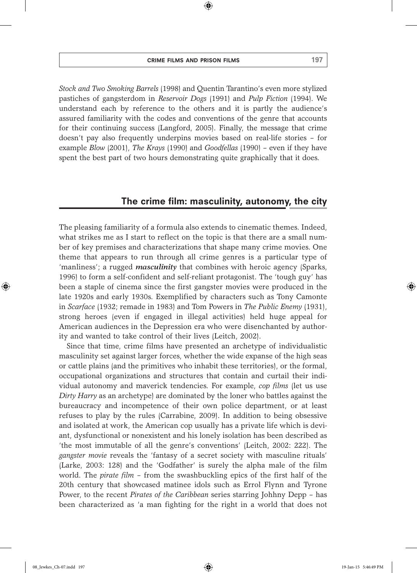⊕

*Stock and Two Smoking Barrels* (1998) and Quentin Tarantino's even more stylized pastiches of gangsterdom in *Reservoir Dogs* (1991) and *Pulp Fiction* (1994). We understand each by reference to the others and it is partly the audience's assured familiarity with the codes and conventions of the genre that accounts for their continuing success (Langford, 2005). Finally, the message that crime doesn't pay also frequently underpins movies based on real-life stories – for example *Blow* (2001), *The Krays* (1990) and *Goodfellas* (1990) – even if they have spent the best part of two hours demonstrating quite graphically that it does.

#### The crime film: masculinity, autonomy, the city

The pleasing familiarity of a formula also extends to cinematic themes. Indeed, what strikes me as I start to reflect on the topic is that there are a small number of key premises and characterizations that shape many crime movies. One theme that appears to run through all crime genres is a particular type of 'manliness'; a rugged *masculinity* that combines with heroic agency (Sparks, 1996) to form a self-confident and self-reliant protagonist. The 'tough guy' has been a staple of cinema since the first gangster movies were produced in the late 1920s and early 1930s. Exemplified by characters such as Tony Camonte in *Scarface* (1932; remade in 1983) and Tom Powers in *The Public Enemy* (1931), strong heroes (even if engaged in illegal activities) held huge appeal for American audiences in the Depression era who were disenchanted by authority and wanted to take control of their lives (Leitch, 2002).

Since that time, crime films have presented an archetype of individualistic masculinity set against larger forces, whether the wide expanse of the high seas or cattle plains (and the primitives who inhabit these territories), or the formal, occupational organizations and structures that contain and curtail their individual autonomy and maverick tendencies. For example, *cop films* (let us use *Dirty Harry* as an archetype) are dominated by the loner who battles against the bureaucracy and incompetence of their own police department, or at least refuses to play by the rules (Carrabine, 2009). In addition to being obsessive and isolated at work, the American cop usually has a private life which is deviant, dysfunctional or nonexistent and his lonely isolation has been described as 'the most immutable of all the genre's conventions' (Leitch, 2002: 222). The *gangster movie* reveals the 'fantasy of a secret society with masculine rituals' (Larke, 2003: 128) and the 'Godfather' is surely the alpha male of the film world. The *pirate film* – from the swashbuckling epics of the first half of the 20th century that showcased matinee idols such as Errol Flynn and Tyrone Power, to the recent *Pirates of the Caribbean* series starring Johhny Depp – has been characterized as 'a man fighting for the right in a world that does not

♠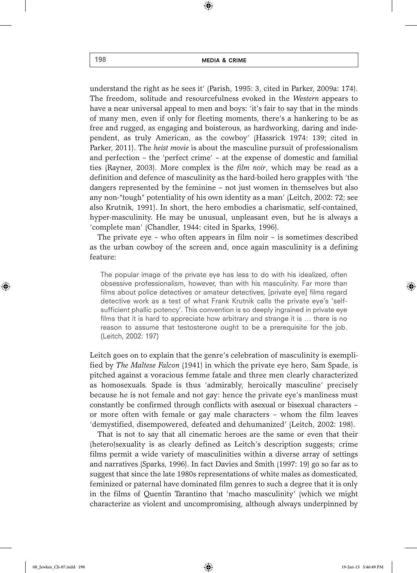#### 198 media & crime media & crime

 $\textcircled{\scriptsize{*}}$ 

understand the right as he sees it' (Parish, 1995: 3, cited in Parker, 2009a: 174). The freedom, solitude and resourcefulness evoked in the *Western* appears to have a near universal appeal to men and boys: 'it's fair to say that in the minds of many men, even if only for fleeting moments, there's a hankering to be as free and rugged, as engaging and boisterous, as hardworking, daring and independent, as truly American, as the cowboy' (Hassrick 1974: 139; cited in Parker, 2011). The *heist movie* is about the masculine pursuit of professionalism and perfection – the 'perfect crime' – at the expense of domestic and familial ties (Rayner, 2003). More complex is the *film noir*, which may be read as a definition and defence of masculinity as the hard-boiled hero grapples with 'the dangers represented by the feminine – not just women in themselves but also any non-"tough" potentiality of his own identity as a man' (Leitch, 2002: 72; see also Krutnik*,* 1991). In short, the hero embodies a charismatic, self-contained, hyper-masculinity. He may be unusual, unpleasant even, but he is always a 'complete man' (Chandler, 1944: cited in Sparks, 1996).

The private eye – who often appears in film noir – is sometimes described as the urban cowboy of the screen and, once again masculinity is a defining feature:

The popular image of the private eye has less to do with his idealized, often obsessive professionalism, however, than with his masculinity. Far more than films about police detectives or amateur detectives, [private eye] films regard detective work as a test of what Frank Krutnik calls the private eye's 'selfsufficient phallic potency'. This convention is so deeply ingrained in private eye films that it is hard to appreciate how arbitrary and strange it is … there is no reason to assume that testosterone ought to be a prerequisite for the job. (Leitch, 2002: 197)

Leitch goes on to explain that the genre's celebration of masculinity is exemplified by *The Maltese Falcon* (1941) in which the private eye hero, Sam Spade, is pitched against a voracious femme fatale and three men clearly characterized as homosexuals. Spade is thus 'admirably, heroically masculine' precisely because he is not female and not gay: hence the private eye's manliness must constantly be confirmed through conflicts with asexual or bisexual characters – or more often with female or gay male characters – whom the film leaves 'demystified, disempowered, defeated and dehumanized' (Leitch, 2002: 198).

That is not to say that all cinematic heroes are the same or even that their (hetero)sexuality is as clearly defined as Leitch's description suggests; crime films permit a wide variety of masculinities within a diverse array of settings and narratives (Sparks, 1996). In fact Davies and Smith (1997: 19) go so far as to suggest that since the late 1980s representations of white males as domesticated, feminized or paternal have dominated film genres to such a degree that it is only in the films of Quentin Tarantino that 'macho masculinity' (which we might characterize as violent and uncompromising, although always underpinned by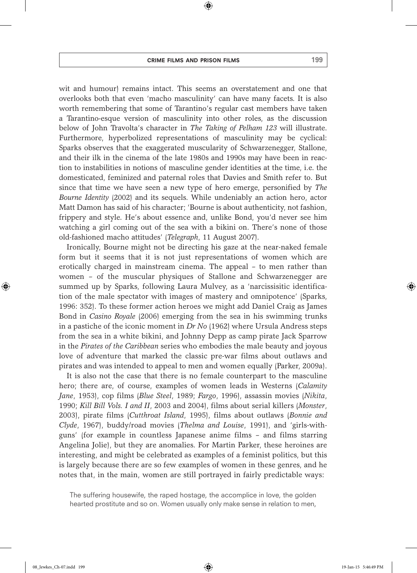⊕

wit and humour) remains intact. This seems an overstatement and one that overlooks both that even 'macho masculinity' can have many facets. It is also worth remembering that some of Tarantino's regular cast members have taken a Tarantino-esque version of masculinity into other roles, as the discussion below of John Travolta's character in *The Taking of Pelham 123* will illustrate. Furthermore, hyperbolized representations of masculinity may be cyclical: Sparks observes that the exaggerated muscularity of Schwarzenegger, Stallone, and their ilk in the cinema of the late 1980s and 1990s may have been in reaction to instabilities in notions of masculine gender identities at the time, i.e. the domesticated, feminized and paternal roles that Davies and Smith refer to. But since that time we have seen a new type of hero emerge, personified by *The Bourne Identity* (2002) and its sequels. While undeniably an action hero, actor Matt Damon has said of his character; 'Bourne is about authenticity, not fashion, frippery and style. He's about essence and, unlike Bond, you'd never see him watching a girl coming out of the sea with a bikini on. There's none of those old-fashioned macho attitudes' (*Telegraph*, 11 August 2007).

Ironically, Bourne might not be directing his gaze at the near-naked female form but it seems that it is not just representations of women which are erotically charged in mainstream cinema. The appeal – to men rather than women – of the muscular physiques of Stallone and Schwarzenegger are summed up by Sparks, following Laura Mulvey, as a 'narcissisitic identification of the male spectator with images of mastery and omnipotence' (Sparks, 1996: 352). To these former action heroes we might add Daniel Craig as James Bond in *Casino Royale* (2006) emerging from the sea in his swimming trunks in a pastiche of the iconic moment in *Dr No* (1962) where Ursula Andress steps from the sea in a white bikini, and Johnny Depp as camp pirate Jack Sparrow in the *Pirates of the Caribbean* series who embodies the male beauty and joyous love of adventure that marked the classic pre-war films about outlaws and pirates and was intended to appeal to men and women equally (Parker, 2009a).

It is also not the case that there is no female counterpart to the masculine hero; there are, of course, examples of women leads in Westerns (*Calamity Jane*, 1953), cop films (*Blue Steel*, 1989; *Fargo*, 1996), assassin movies (*Nikita*, 1990; *Kill Bill Vols. I and II*, 2003 and 2004), films about serial killers (*Monster*, 2003), pirate films (*Cutthroat Island*, 1995), films about outlaws (*Bonnie and Clyde*, 1967), buddy/road movies (*Thelma and Louise*, 1991), and 'girls-withguns' (for example in countless Japanese anime films – and films starring Angelina Jolie), but they are anomalies. For Martin Parker, these heroines are interesting, and might be celebrated as examples of a feminist politics, but this is largely because there are so few examples of women in these genres, and he notes that, in the main, women are still portrayed in fairly predictable ways:

The suffering housewife, the raped hostage, the accomplice in love, the golden hearted prostitute and so on. Women usually only make sense in relation to men,

♠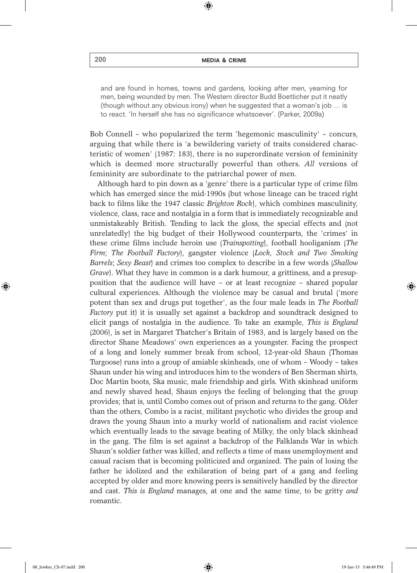### 200 **MEDIA & CRIME**

 $\textcircled{\scriptsize{*}}$ 

and are found in homes, towns and gardens, looking after men, yearning for men, being wounded by men. The Western director Budd Boetticher put it neatly (though without any obvious irony) when he suggested that a woman's job … is to react. 'In herself she has no significance whatsoever'. (Parker, 2009a)

Bob Connell – who popularized the term 'hegemonic masculinity' – concurs, arguing that while there is 'a bewildering variety of traits considered characteristic of women' (1987: 183), there is no superordinate version of femininity which is deemed more structurally powerful than others. *All* versions of femininity are subordinate to the patriarchal power of men.

Although hard to pin down as a 'genre' there is a particular type of crime film which has emerged since the mid-1990s (but whose lineage can be traced right back to films like the 1947 classic *Brighton Rock*), which combines masculinity, violence, class, race and nostalgia in a form that is immediately recognizable and unmistakeably British. Tending to lack the gloss, the special effects and (not unrelatedly) the big budget of their Hollywood counterparts, the 'crimes' in these crime films include heroin use (*Trainspotting*), football hooliganism (*The Firm*; *The Football Factory*), gangster violence (*Lock, Stock and Two Smoking Barrels*; *Sexy Beast*) and crimes too complex to describe in a few words (*Shallow Grave*). What they have in common is a dark humour, a grittiness, and a presupposition that the audience will have – or at least recognize – shared popular cultural experiences. Although the violence may be casual and brutal ('more potent than sex and drugs put together', as the four male leads in *The Football Factory* put it) it is usually set against a backdrop and soundtrack designed to elicit pangs of nostalgia in the audience. To take an example, *This is England* (2006), is set in Margaret Thatcher's Britain of 1983, and is largely based on the director Shane Meadows' own experiences as a youngster. Facing the prospect of a long and lonely summer break from school, 12-year-old Shaun (Thomas Turgoose) runs into a group of amiable skinheads, one of whom – Woody – takes Shaun under his wing and introduces him to the wonders of Ben Sherman shirts, Doc Martin boots, Ska music, male friendship and girls. With skinhead uniform and newly shaved head, Shaun enjoys the feeling of belonging that the group provides; that is, until Combo comes out of prison and returns to the gang. Older than the others, Combo is a racist, militant psychotic who divides the group and draws the young Shaun into a murky world of nationalism and racist violence which eventually leads to the savage beating of Milky, the only black skinhead in the gang. The film is set against a backdrop of the Falklands War in which Shaun's soldier father was killed, and reflects a time of mass unemployment and casual racism that is becoming politicized and organized. The pain of losing the father he idolized and the exhilaration of being part of a gang and feeling accepted by older and more knowing peers is sensitively handled by the director and cast. *This is England* manages, at one and the same time, to be gritty *and* romantic.

♠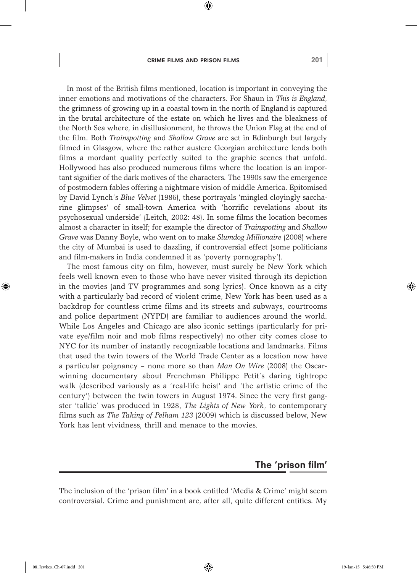⊕

In most of the British films mentioned, location is important in conveying the inner emotions and motivations of the characters. For Shaun in *This is England*, the grimness of growing up in a coastal town in the north of England is captured in the brutal architecture of the estate on which he lives and the bleakness of the North Sea where, in disillusionment, he throws the Union Flag at the end of the film. Both *Trainspotting* and *Shallow Grave* are set in Edinburgh but largely filmed in Glasgow, where the rather austere Georgian architecture lends both films a mordant quality perfectly suited to the graphic scenes that unfold. Hollywood has also produced numerous films where the location is an important signifier of the dark motives of the characters. The 1990s saw the emergence of postmodern fables offering a nightmare vision of middle America. Epitomised by David Lynch's *Blue Velvet* (1986), these portrayals 'mingled cloyingly saccharine glimpses' of small-town America with 'horrific revelations about its psychosexual underside' (Leitch, 2002: 48). In some films the location becomes almost a character in itself; for example the director of *Trainspotting* and *Shallow Grave* was Danny Boyle, who went on to make *Slumdog Millionaire* (2008) where the city of Mumbai is used to dazzling, if controversial effect (some politicians and film-makers in India condemned it as 'poverty pornography').

The most famous city on film, however, must surely be New York which feels well known even to those who have never visited through its depiction in the movies (and TV programmes and song lyrics). Once known as a city with a particularly bad record of violent crime, New York has been used as a backdrop for countless crime films and its streets and subways, courtrooms and police department (NYPD) are familiar to audiences around the world. While Los Angeles and Chicago are also iconic settings (particularly for private eye/film noir and mob films respectively) no other city comes close to NYC for its number of instantly recognizable locations and landmarks. Films that used the twin towers of the World Trade Center as a location now have a particular poignancy – none more so than *Man On Wire* (2008) the Oscarwinning documentary about Frenchman Philippe Petit's daring tightrope walk (described variously as a 'real-life heist' and 'the artistic crime of the century') between the twin towers in August 1974. Since the very first gangster 'talkie' was produced in 1928, *The Lights of New York*, to contemporary films such as *The Taking of Pelham 123* (2009) which is discussed below, New York has lent vividness, thrill and menace to the movies.

### The 'prison film'

The inclusion of the 'prison film' in a book entitled 'Media & Crime' might seem controversial. Crime and punishment are, after all, quite different entities. My

♠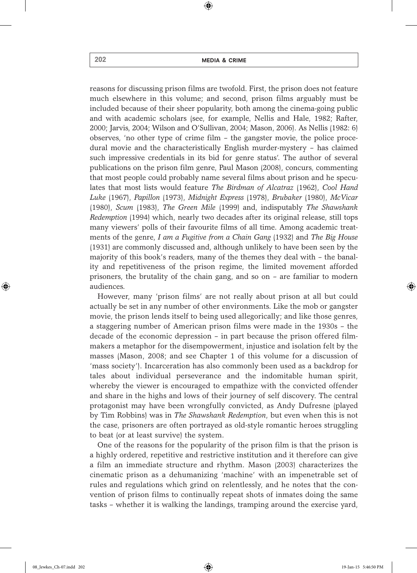#### 202 **MEDIA & CRIME**

⊕

reasons for discussing prison films are twofold. First, the prison does not feature much elsewhere in this volume; and second, prison films arguably must be included because of their sheer popularity, both among the cinema-going public and with academic scholars (see, for example, Nellis and Hale, 1982; Rafter, 2000; Jarvis, 2004; Wilson and O'Sullivan, 2004; Mason, 2006). As Nellis (1982: 6) observes, 'no other type of crime film – the gangster movie, the police procedural movie and the characteristically English murder-mystery – has claimed such impressive credentials in its bid for genre status'. The author of several publications on the prison film genre, Paul Mason (2008), concurs, commenting that most people could probably name several films about prison and he speculates that most lists would feature *The Birdman of Alcatraz* (1962), *Cool Hand Luke* (1967), *Papillon* (1973), *Midnight Express* (1978), *Brubaker* (1980), *McVicar* (1980), *Scum* (1983), *The Green Mile* (1999) and, indisputably *The Shawshank Redemption* (1994) which, nearly two decades after its original release, still tops many viewers' polls of their favourite films of all time. Among academic treatments of the genre, *I am a Fugitive from a Chain Gang* (1932) and *The Big House* (1931) are commonly discussed and, although unlikely to have been seen by the majority of this book's readers, many of the themes they deal with – the banality and repetitiveness of the prison regime, the limited movement afforded prisoners, the brutality of the chain gang, and so on – are familiar to modern audiences.

However, many 'prison films' are not really about prison at all but could actually be set in any number of other environments. Like the mob or gangster movie, the prison lends itself to being used allegorically; and like those genres, a staggering number of American prison films were made in the 1930s – the decade of the economic depression – in part because the prison offered filmmakers a metaphor for the disempowerment, injustice and isolation felt by the masses (Mason, 2008; and see Chapter 1 of this volume for a discussion of 'mass society'). Incarceration has also commonly been used as a backdrop for tales about individual perseverance and the indomitable human spirit, whereby the viewer is encouraged to empathize with the convicted offender and share in the highs and lows of their journey of self discovery. The central protagonist may have been wrongfully convicted, as Andy Dufresne (played by Tim Robbins) was in *The Shawshank Redemption*, but even when this is not the case, prisoners are often portrayed as old-style romantic heroes struggling to beat (or at least survive) the system.

One of the reasons for the popularity of the prison film is that the prison is a highly ordered, repetitive and restrictive institution and it therefore can give a film an immediate structure and rhythm. Mason (2003) characterizes the cinematic prison as a dehumanizing 'machine' with an impenetrable set of rules and regulations which grind on relentlessly, and he notes that the convention of prison films to continually repeat shots of inmates doing the same tasks – whether it is walking the landings, tramping around the exercise yard,

⊕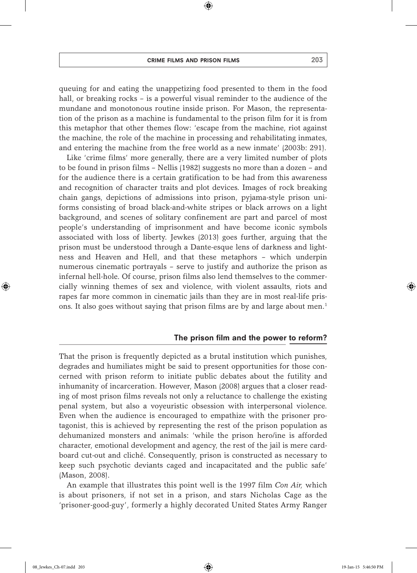⊕

queuing for and eating the unappetizing food presented to them in the food hall, or breaking rocks – is a powerful visual reminder to the audience of the mundane and monotonous routine inside prison. For Mason, the representation of the prison as a machine is fundamental to the prison film for it is from this metaphor that other themes flow: 'escape from the machine, riot against the machine, the role of the machine in processing and rehabilitating inmates, and entering the machine from the free world as a new inmate' (2003b: 291).

Like 'crime films' more generally, there are a very limited number of plots to be found in prison films – Nellis (1982) suggests no more than a dozen – and for the audience there is a certain gratification to be had from this awareness and recognition of character traits and plot devices. Images of rock breaking chain gangs, depictions of admissions into prison, pyjama-style prison uniforms consisting of broad black-and-white stripes or black arrows on a light background, and scenes of solitary confinement are part and parcel of most people's understanding of imprisonment and have become iconic symbols associated with loss of liberty. Jewkes (2013) goes further, arguing that the prison must be understood through a Dante-esque lens of darkness and lightness and Heaven and Hell, and that these metaphors – which underpin numerous cinematic portrayals – serve to justify and authorize the prison as infernal hell-hole. Of course, prison films also lend themselves to the commercially winning themes of sex and violence, with violent assaults, riots and rapes far more common in cinematic jails than they are in most real-life prisons. It also goes without saying that prison films are by and large about men.<sup>1</sup>

#### The prison film and the power to reform?

That the prison is frequently depicted as a brutal institution which punishes, degrades and humiliates might be said to present opportunities for those concerned with prison reform to initiate public debates about the futility and inhumanity of incarceration. However, Mason (2008) argues that a closer reading of most prison films reveals not only a reluctance to challenge the existing penal system, but also a voyeuristic obsession with interpersonal violence. Even when the audience is encouraged to empathize with the prisoner protagonist, this is achieved by representing the rest of the prison population as dehumanized monsters and animals: 'while the prison hero/ine is afforded character, emotional development and agency, the rest of the jail is mere cardboard cut-out and cliché. Consequently, prison is constructed as necessary to keep such psychotic deviants caged and incapacitated and the public safe' (Mason, 2008).

An example that illustrates this point well is the 1997 film *Con Air,* which is about prisoners, if not set in a prison, and stars Nicholas Cage as the 'prisoner-good-guy', formerly a highly decorated United States Army Ranger

♠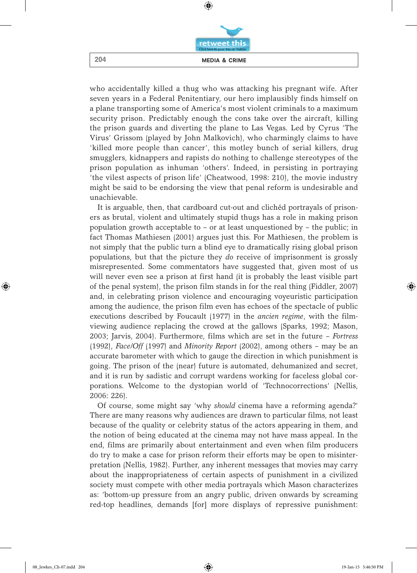

 $\bigoplus$ 

who accidentally killed a thug who was attacking his pregnant wife. After seven years in a Federal Penitentiary, our hero implausibly finds himself on a plane transporting some of America's most violent criminals to a maximum security prison. Predictably enough the cons take over the aircraft, killing the prison guards and diverting the plane to Las Vegas. Led by Cyrus 'The Virus' Grissom (played by John Malkovich), who charmingly claims to have 'killed more people than cancer', this motley bunch of serial killers, drug smugglers, kidnappers and rapists do nothing to challenge stereotypes of the prison population as inhuman 'others'. Indeed, in persisting in portraying 'the vilest aspects of prison life' (Cheatwood, 1998: 210), the movie industry might be said to be endorsing the view that penal reform is undesirable and unachievable.

It is arguable, then, that cardboard cut-out and clichéd portrayals of prisoners as brutal, violent and ultimately stupid thugs has a role in making prison population growth acceptable to – or at least unquestioned by – the public; in fact Thomas Mathiesen (2001) argues just this. For Mathiesen, the problem is not simply that the public turn a blind eye to dramatically rising global prison populations, but that the picture they *do* receive of imprisonment is grossly misrepresented. Some commentators have suggested that, given most of us will never even see a prison at first hand (it is probably the least visible part of the penal system), the prison film stands in for the real thing (Fiddler, 2007) and, in celebrating prison violence and encouraging voyeuristic participation among the audience, the prison film even has echoes of the spectacle of public executions described by Foucault (1977) in the *ancien regime*, with the filmviewing audience replacing the crowd at the gallows (Sparks, 1992; Mason, 2003; Jarvis, 2004). Furthermore, films which are set in the future – *Fortress*  (1992), *Face/Off* (1997) and *Minority Report* (2002), among others – may be an accurate barometer with which to gauge the direction in which punishment is going. The prison of the (near) future is automated, dehumanized and secret, and it is run by sadistic and corrupt wardens working for faceless global corporations. Welcome to the dystopian world of 'Technocorrections' (Nellis, 2006: 226).

Of course, some might say 'why *should* cinema have a reforming agenda?' There are many reasons why audiences are drawn to particular films, not least because of the quality or celebrity status of the actors appearing in them, and the notion of being educated at the cinema may not have mass appeal. In the end, films are primarily about entertainment and even when film producers do try to make a case for prison reform their efforts may be open to misinterpretation (Nellis, 1982). Further, any inherent messages that movies may carry about the inappropriateness of certain aspects of punishment in a civilized society must compete with other media portrayals which Mason characterizes as: 'bottom-up pressure from an angry public, driven onwards by screaming red-top headlines, demands [for] more displays of repressive punishment:

♠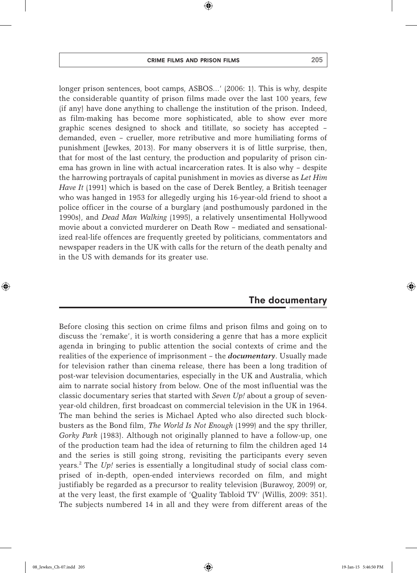⊕

longer prison sentences, boot camps, ASBOS…' (2006: 1). This is why, despite the considerable quantity of prison films made over the last 100 years, few (if any) have done anything to challenge the institution of the prison. Indeed, as film-making has become more sophisticated, able to show ever more graphic scenes designed to shock and titillate, so society has accepted – demanded, even – crueller, more retributive and more humiliating forms of punishment (Jewkes, 2013). For many observers it is of little surprise, then, that for most of the last century, the production and popularity of prison cinema has grown in line with actual incarceration rates. It is also why – despite the harrowing portrayals of capital punishment in movies as diverse as *Let Him Have It* (1991) which is based on the case of Derek Bentley, a British teenager who was hanged in 1953 for allegedly urging his 16-year-old friend to shoot a police officer in the course of a burglary (and posthumously pardoned in the 1990s), and *Dead Man Walking* (1995), a relatively unsentimental Hollywood movie about a convicted murderer on Death Row – mediated and sensationalized real-life offences are frequently greeted by politicians, commentators and newspaper readers in the UK with calls for the return of the death penalty and in the US with demands for its greater use.

# The documentary

Before closing this section on crime films and prison films and going on to discuss the 'remake', it is worth considering a genre that has a more explicit agenda in bringing to public attention the social contexts of crime and the realities of the experience of imprisonment – the *documentary*. Usually made for television rather than cinema release, there has been a long tradition of post-war television documentaries, especially in the UK and Australia, which aim to narrate social history from below. One of the most influential was the classic documentary series that started with *Seven Up!* about a group of sevenyear-old children, first broadcast on commercial television in the UK in 1964. The man behind the series is Michael Apted who also directed such blockbusters as the Bond film, *The World Is Not Enough* (1999) and the spy thriller, *Gorky Park* (1983). Although not originally planned to have a follow-up, one of the production team had the idea of returning to film the children aged 14 and the series is still going strong, revisiting the participants every seven years.2 The *Up!* series is essentially a longitudinal study of social class comprised of in-depth, open-ended interviews recorded on film, and might justifiably be regarded as a precursor to reality television (Burawoy, 2009) or, at the very least, the first example of 'Quality Tabloid TV' (Willis, 2009: 351). The subjects numbered 14 in all and they were from different areas of the

⊕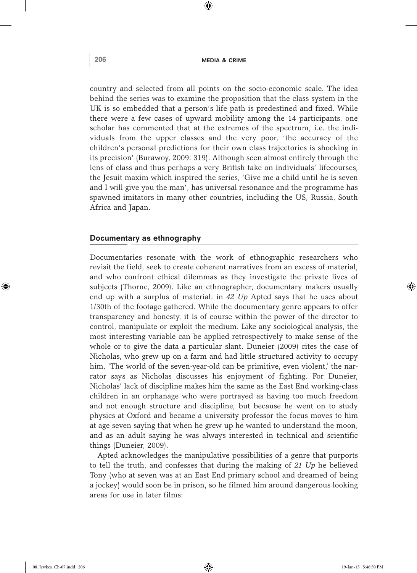206 media and the MEDIA & CRIME

⊕

country and selected from all points on the socio-economic scale. The idea behind the series was to examine the proposition that the class system in the UK is so embedded that a person's life path is predestined and fixed. While there were a few cases of upward mobility among the 14 participants, one scholar has commented that at the extremes of the spectrum, i.e. the individuals from the upper classes and the very poor, 'the accuracy of the children's personal predictions for their own class trajectories is shocking in its precision' (Burawoy, 2009: 319). Although seen almost entirely through the lens of class and thus perhaps a very British take on individuals' lifecourses, the Jesuit maxim which inspired the series, 'Give me a child until he is seven and I will give you the man', has universal resonance and the programme has spawned imitators in many other countries, including the US, Russia, South Africa and Japan.

#### Documentary as ethnography

Documentaries resonate with the work of ethnographic researchers who revisit the field, seek to create coherent narratives from an excess of material, and who confront ethical dilemmas as they investigate the private lives of subjects (Thorne, 2009). Like an ethnographer, documentary makers usually end up with a surplus of material: in *42 Up* Apted says that he uses about 1/30th of the footage gathered. While the documentary genre appears to offer transparency and honesty, it is of course within the power of the director to control, manipulate or exploit the medium. Like any sociological analysis, the most interesting variable can be applied retrospectively to make sense of the whole or to give the data a particular slant. Duneier (2009) cites the case of Nicholas, who grew up on a farm and had little structured activity to occupy him. 'The world of the seven-year-old can be primitive, even violent,' the narrator says as Nicholas discusses his enjoyment of fighting. For Duneier, Nicholas' lack of discipline makes him the same as the East End working-class children in an orphanage who were portrayed as having too much freedom and not enough structure and discipline, but because he went on to study physics at Oxford and became a university professor the focus moves to him at age seven saying that when he grew up he wanted to understand the moon, and as an adult saying he was always interested in technical and scientific things (Duneier, 2009).

Apted acknowledges the manipulative possibilities of a genre that purports to tell the truth, and confesses that during the making of *21 Up* he believed Tony (who at seven was at an East End primary school and dreamed of being a jockey) would soon be in prison, so he filmed him around dangerous looking areas for use in later films: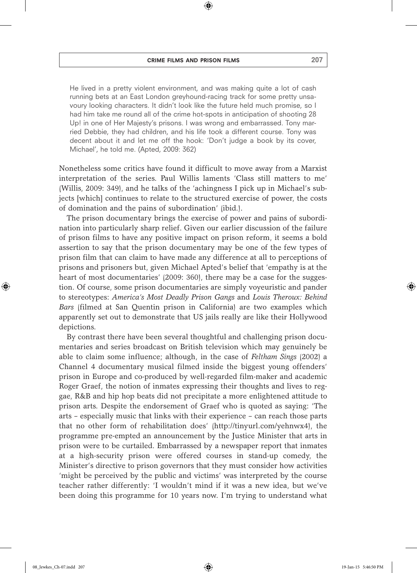⊕

He lived in a pretty violent environment, and was making quite a lot of cash running bets at an East London greyhound-racing track for some pretty unsavoury looking characters. It didn't look like the future held much promise, so I had him take me round all of the crime hot-spots in anticipation of shooting 28 Up! in one of Her Majesty's prisons. I was wrong and embarrassed. Tony married Debbie, they had children, and his life took a different course. Tony was decent about it and let me off the hook: 'Don't judge a book by its cover, Michael', he told me. (Apted, 2009: 362)

Nonetheless some critics have found it difficult to move away from a Marxist interpretation of the series. Paul Willis laments 'Class still matters to me' (Willis, 2009: 349), and he talks of the 'achingness I pick up in Michael's subjects [which] continues to relate to the structured exercise of power, the costs of domination and the pains of subordination' (ibid.).

The prison documentary brings the exercise of power and pains of subordination into particularly sharp relief. Given our earlier discussion of the failure of prison films to have any positive impact on prison reform, it seems a bold assertion to say that the prison documentary may be one of the few types of prison film that can claim to have made any difference at all to perceptions of prisons and prisoners but, given Michael Apted's belief that 'empathy is at the heart of most documentaries' (2009: 360), there may be a case for the suggestion. Of course, some prison documentaries are simply voyeuristic and pander to stereotypes: *America's Most Deadly Prison Gangs* and *Louis Theroux: Behind Bars* (filmed at San Quentin prison in California) are two examples which apparently set out to demonstrate that US jails really are like their Hollywood depictions.

By contrast there have been several thoughtful and challenging prison documentaries and series broadcast on British television which may genuinely be able to claim some influence; although, in the case of *Feltham Sings* (2002) a Channel 4 documentary musical filmed inside the biggest young offenders' prison in Europe and co-produced by well-regarded film-maker and academic Roger Graef, the notion of inmates expressing their thoughts and lives to reggae, R&B and hip hop beats did not precipitate a more enlightened attitude to prison arts. Despite the endorsement of Graef who is quoted as saying: 'The arts – especially music that links with their experience – can reach those parts that no other form of rehabilitation does' (http://tinyurl.com/yehnwx4), the programme pre-empted an announcement by the Justice Minister that arts in prison were to be curtailed. Embarrassed by a newspaper report that inmates at a high-security prison were offered courses in stand-up comedy, the Minister's directive to prison governors that they must consider how activities 'might be perceived by the public and victims' was interpreted by the course teacher rather differently: 'I wouldn't mind if it was a new idea, but we've been doing this programme for 10 years now. I'm trying to understand what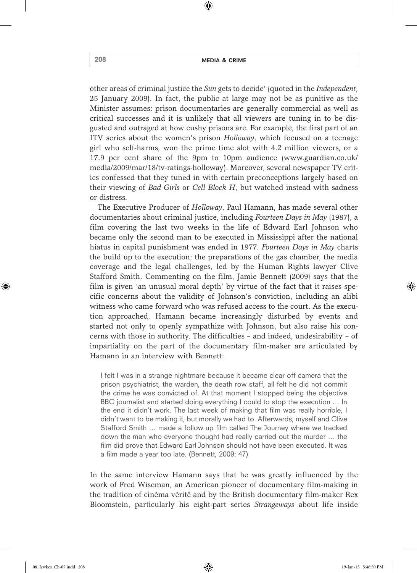#### 208 media and the MEDIA & CRIME

 $\textcircled{\scriptsize{*}}$ 

other areas of criminal justice the *Sun* gets to decide' (quoted in the *Independent*, 25 January 2009). In fact, the public at large may not be as punitive as the Minister assumes: prison documentaries are generally commercial as well as critical successes and it is unlikely that all viewers are tuning in to be disgusted and outraged at how cushy prisons are. For example, the first part of an ITV series about the women's prison *Holloway*, which focused on a teenage girl who self-harms, won the prime time slot with 4.2 million viewers, or a 17.9 per cent share of the 9pm to 10pm audience (www.guardian.co.uk/ media/2009/mar/18/tv-ratings-holloway). Moreover, several newspaper TV critics confessed that they tuned in with certain preconceptions largely based on their viewing of *Bad Girls* or *Cell Block H*, but watched instead with sadness or distress.

The Executive Producer of *Holloway*, Paul Hamann, has made several other documentaries about criminal justice, including *Fourteen Days in May* (1987), a film covering the last two weeks in the life of Edward Earl Johnson who became only the second man to be executed in Mississippi after the national hiatus in capital punishment was ended in 1977. *Fourteen Days in May* charts the build up to the execution; the preparations of the gas chamber, the media coverage and the legal challenges, led by the Human Rights lawyer Clive Stafford Smith. Commenting on the film, Jamie Bennett (2009) says that the film is given 'an unusual moral depth' by virtue of the fact that it raises specific concerns about the validity of Johnson's conviction, including an alibi witness who came forward who was refused access to the court. As the execution approached, Hamann became increasingly disturbed by events and started not only to openly sympathize with Johnson, but also raise his concerns with those in authority. The difficulties – and indeed, undesirability – of impartiality on the part of the documentary film-maker are articulated by Hamann in an interview with Bennett:

I felt I was in a strange nightmare because it became clear off camera that the prison psychiatrist, the warden, the death row staff, all felt he did not commit the crime he was convicted of. At that moment I stopped being the objective BBC journalist and started doing everything I could to stop the execution … In the end it didn't work. The last week of making that film was really horrible, I didn't want to be making it, but morally we had to. Afterwards, myself and Clive Stafford Smith … made a follow up film called The Journey where we tracked down the man who everyone thought had really carried out the murder … the film did prove that Edward Earl Johnson should not have been executed. It was a film made a year too late. (Bennett, 2009: 47)

In the same interview Hamann says that he was greatly influenced by the work of Fred Wiseman, an American pioneer of documentary film-making in the tradition of cinéma vérité and by the British documentary film-maker Rex Bloomstein, particularly his eight-part series *Strangeways* about life inside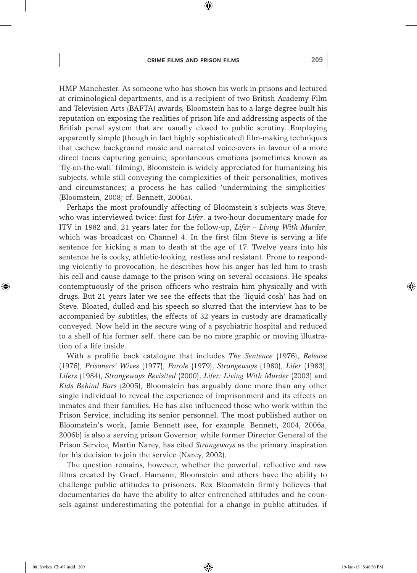⊕

HMP Manchester. As someone who has shown his work in prisons and lectured at criminological departments, and is a recipient of two British Academy Film and Television Arts (BAFTA) awards, Bloomstein has to a large degree built his reputation on exposing the realities of prison life and addressing aspects of the British penal system that are usually closed to public scrutiny. Employing apparently simple (though in fact highly sophisticated) film-making techniques that eschew background music and narrated voice-overs in favour of a more direct focus capturing genuine, spontaneous emotions (sometimes known as 'fly-on-the-wall' filming), Bloomstein is widely appreciated for humanizing his subjects, while still conveying the complexities of their personalities, motives and circumstances; a process he has called 'undermining the simplicities' (Bloomstein, 2008; cf. Bennett, 2006a).

Perhaps the most profoundly affecting of Bloomstein's subjects was Steve, who was interviewed twice; first for *Lifer*, a two-hour documentary made for ITV in 1982 and, 21 years later for the follow-up, *Lifer – Living With Murder*, which was broadcast on Channel 4. In the first film Steve is serving a life sentence for kicking a man to death at the age of 17. Twelve years into his sentence he is cocky, athletic-looking, restless and resistant. Prone to responding violently to provocation, he describes how his anger has led him to trash his cell and cause damage to the prison wing on several occasions. He speaks contemptuously of the prison officers who restrain him physically and with drugs. But 21 years later we see the effects that the 'liquid cosh' has had on Steve. Bloated, dulled and his speech so slurred that the interview has to be accompanied by subtitles, the effects of 32 years in custody are dramatically conveyed. Now held in the secure wing of a psychiatric hospital and reduced to a shell of his former self, there can be no more graphic or moving illustration of a life inside.

With a prolific back catalogue that includes *The Sentence* (1976), *Release*  (1976), *Prisoners' Wives* (1977), *Parole* (1979), *Strangeways* (1980), *Lifer* (1983), *Lifers* (1984), *Strangeways Revisited* (2000), *Lifer: Living With Murder* (2003) and *Kids Behind Bars* (2005), Bloomstein has arguably done more than any other single individual to reveal the experience of imprisonment and its effects on inmates and their families. He has also influenced those who work within the Prison Service, including its senior personnel. The most published author on Bloomstein's work, Jamie Bennett (see, for example, Bennett, 2004, 2006a, 2006b) is also a serving prison Governor, while former Director General of the Prison Service, Martin Narey, has cited *Strangeways* as the primary inspiration for his decision to join the service (Narey, 2002).

The question remains, however, whether the powerful, reflective and raw films created by Graef, Hamann, Bloomstein and others have the ability to challenge public attitudes to prisoners. Rex Bloomstein firmly believes that documentaries do have the ability to alter entrenched attitudes and he counsels against underestimating the potential for a change in public attitudes, if

⊕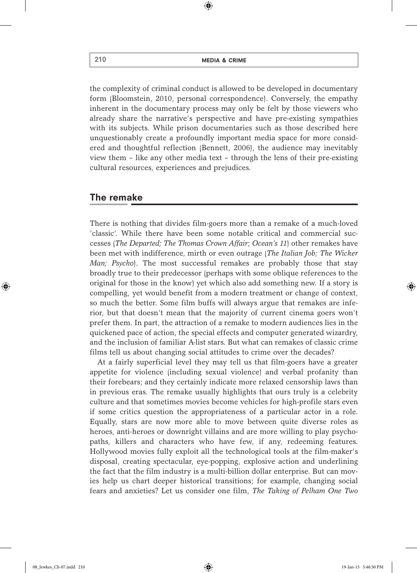#### 210 **MEDIA & CRIME**

 $\textcircled{\scriptsize{*}}$ 

the complexity of criminal conduct is allowed to be developed in documentary form (Bloomstein, 2010, personal correspondence). Conversely, the empathy inherent in the documentary process may only be felt by those viewers who already share the narrative's perspective and have pre-existing sympathies with its subjects. While prison documentaries such as those described here unquestionably create a profoundly important media space for more considered and thoughtful reflection (Bennett, 2006), the audience may inevitably view them – like any other media text – through the lens of their pre-existing cultural resources, experiences and prejudices.

# The remake

There is nothing that divides film-goers more than a remake of a much-loved 'classic'. While there have been some notable critical and commercial successes (*The Departed; The Thomas Crown Affair*; *Ocean's 11*) other remakes have been met with indifference, mirth or even outrage (*The Italian Job; The Wicker Man; Psycho*). The most successful remakes are probably those that stay broadly true to their predecessor (perhaps with some oblique references to the original for those in the know) yet which also add something new. If a story is compelling, yet would benefit from a modern treatment or change of context, so much the better. Some film buffs will always argue that remakes are inferior, but that doesn't mean that the majority of current cinema goers won't prefer them. In part, the attraction of a remake to modern audiences lies in the quickened pace of action, the special effects and computer generated wizardry, and the inclusion of familiar A-list stars. But what can remakes of classic crime films tell us about changing social attitudes to crime over the decades?

At a fairly superficial level they may tell us that film-goers have a greater appetite for violence (including sexual violence) and verbal profanity than their forebears; and they certainly indicate more relaxed censorship laws than in previous eras. The remake usually highlights that ours truly is a celebrity culture and that sometimes movies become vehicles for high-profile stars even if some critics question the appropriateness of a particular actor in a role. Equally, stars are now more able to move between quite diverse roles as heroes, anti-heroes or downright villains and are more willing to play psychopaths, killers and characters who have few, if any, redeeming features. Hollywood movies fully exploit all the technological tools at the film-maker's disposal, creating spectacular, eye-popping, explosive action and underlining the fact that the film industry is a multi-billion dollar enterprise. But can movies help us chart deeper historical transitions; for example, changing social fears and anxieties? Let us consider one film, *The Taking of Pelham One Two* 

♠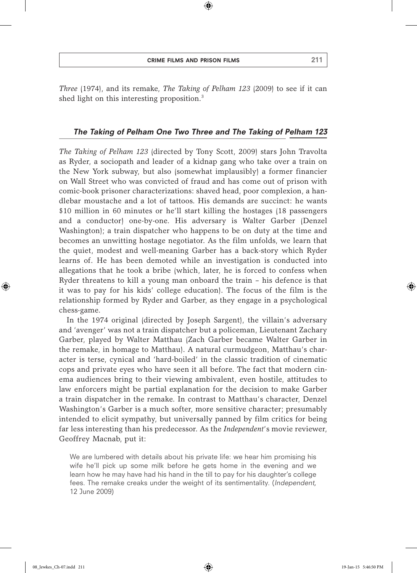⊕

*Three* (1974), and its remake, *The Taking of Pelham 123* (2009) to see if it can shed light on this interesting proposition.<sup>3</sup>

#### The Taking of Pelham One Two Three and The Taking of Pelham 123

*The Taking of Pelham 123* (directed by Tony Scott, 2009) stars John Travolta as Ryder, a sociopath and leader of a kidnap gang who take over a train on the New York subway, but also (somewhat implausibly) a former financier on Wall Street who was convicted of fraud and has come out of prison with comic-book prisoner characterizations: shaved head, poor complexion, a handlebar moustache and a lot of tattoos. His demands are succinct: he wants \$10 million in 60 minutes or he'll start killing the hostages (18 passengers and a conductor) one-by-one. His adversary is Walter Garber (Denzel Washington); a train dispatcher who happens to be on duty at the time and becomes an unwitting hostage negotiator. As the film unfolds, we learn that the quiet, modest and well-meaning Garber has a back-story which Ryder learns of. He has been demoted while an investigation is conducted into allegations that he took a bribe (which, later, he is forced to confess when Ryder threatens to kill a young man onboard the train – his defence is that it was to pay for his kids' college education). The focus of the film is the relationship formed by Ryder and Garber, as they engage in a psychological chess-game.

In the 1974 original (directed by Joseph Sargent), the villain's adversary and 'avenger' was not a train dispatcher but a policeman, Lieutenant Zachary Garber, played by Walter Matthau (Zach Garber became Walter Garber in the remake, in homage to Matthau). A natural curmudgeon, Matthau's character is terse, cynical and 'hard-boiled' in the classic tradition of cinematic cops and private eyes who have seen it all before. The fact that modern cinema audiences bring to their viewing ambivalent, even hostile, attitudes to law enforcers might be partial explanation for the decision to make Garber a train dispatcher in the remake. In contrast to Matthau's character, Denzel Washington's Garber is a much softer, more sensitive character; presumably intended to elicit sympathy, but universally panned by film critics for being far less interesting than his predecessor. As the *Independent*'s movie reviewer, Geoffrey Macnab, put it:

We are lumbered with details about his private life: we hear him promising his wife he'll pick up some milk before he gets home in the evening and we learn how he may have had his hand in the till to pay for his daughter's college fees. The remake creaks under the weight of its sentimentality. (Independent, 12 June 2009)

♠

 $\Leftrightarrow$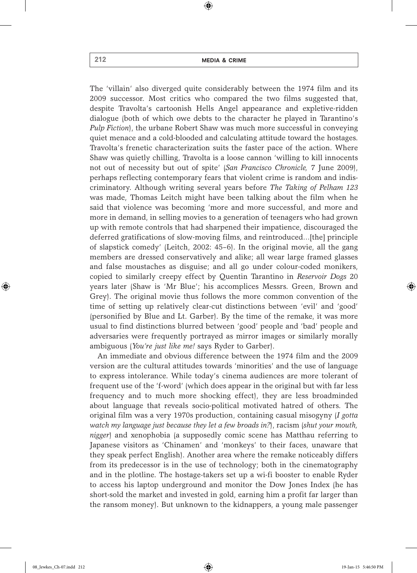#### 212 **MEDIA & CRIME**

 $\textcircled{\scriptsize{*}}$ 

The 'villain' also diverged quite considerably between the 1974 film and its 2009 successor. Most critics who compared the two films suggested that, despite Travolta's cartoonish Hells Angel appearance and expletive-ridden dialogue (both of which owe debts to the character he played in Tarantino's *Pulp Fiction*), the urbane Robert Shaw was much more successful in conveying quiet menace and a cold-blooded and calculating attitude toward the hostages. Travolta's frenetic characterization suits the faster pace of the action. Where Shaw was quietly chilling, Travolta is a loose cannon 'willing to kill innocents not out of necessity but out of spite' (*San Francisco Chronicle,* 7 June 2009), perhaps reflecting contemporary fears that violent crime is random and indiscriminatory. Although writing several years before *The Taking of Pelham 123*  was made, Thomas Leitch might have been talking about the film when he said that violence was becoming 'more and more successful, and more and more in demand, in selling movies to a generation of teenagers who had grown up with remote controls that had sharpened their impatience, discouraged the deferred gratifications of slow-moving films, and reintroduced…[the] principle of slapstick comedy' (Leitch, 2002: 45–6). In the original movie, all the gang members are dressed conservatively and alike; all wear large framed glasses and false moustaches as disguise; and all go under colour-coded monikers, copied to similarly creepy effect by Quentin Tarantino in *Reservoir Dogs* 20 years later (Shaw is 'Mr Blue'; his accomplices Messrs. Green, Brown and Grey). The original movie thus follows the more common convention of the time of setting up relatively clear-cut distinctions between 'evil' and 'good' (personified by Blue and Lt. Garber). By the time of the remake, it was more usual to find distinctions blurred between 'good' people and 'bad' people and adversaries were frequently portrayed as mirror images or similarly morally ambiguous (*You're just like me!* says Ryder to Garber).

An immediate and obvious difference between the 1974 film and the 2009 version are the cultural attitudes towards 'minorities' and the use of language to express intolerance. While today's cinema audiences are more tolerant of frequent use of the 'f-word' (which does appear in the original but with far less frequency and to much more shocking effect), they are less broadminded about language that reveals socio-political motivated hatred of others. The original film was a very 1970s production, containing casual misogyny (*I gotta watch my language just because they let a few broads in?*), racism (*shut your mouth, nigger*) and xenophobia (a supposedly comic scene has Matthau referring to Japanese visitors as 'Chinamen' and 'monkeys' to their faces, unaware that they speak perfect English). Another area where the remake noticeably differs from its predecessor is in the use of technology; both in the cinematography and in the plotline. The hostage-takers set up a wi-fi booster to enable Ryder to access his laptop underground and monitor the Dow Jones Index (he has short-sold the market and invested in gold, earning him a profit far larger than the ransom money). But unknown to the kidnappers, a young male passenger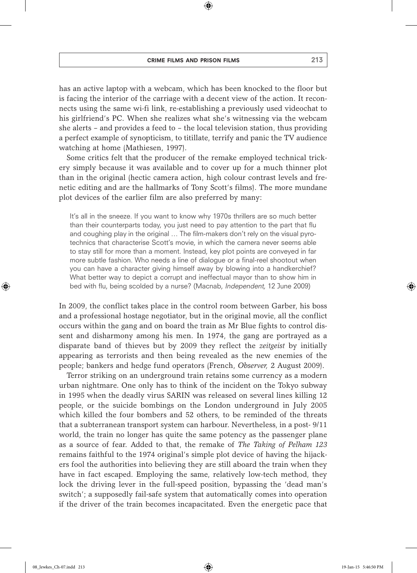⊕

has an active laptop with a webcam, which has been knocked to the floor but is facing the interior of the carriage with a decent view of the action. It reconnects using the same wi-fi link, re-establishing a previously used videochat to his girlfriend's PC. When she realizes what she's witnessing via the webcam she alerts – and provides a feed to – the local television station, thus providing a perfect example of synopticism, to titillate, terrify and panic the TV audience watching at home (Mathiesen, 1997).

Some critics felt that the producer of the remake employed technical trickery simply because it was available and to cover up for a much thinner plot than in the original (hectic camera action, high colour contrast levels and frenetic editing and are the hallmarks of Tony Scott's films). The more mundane plot devices of the earlier film are also preferred by many:

It's all in the sneeze. If you want to know why 1970s thrillers are so much better than their counterparts today, you just need to pay attention to the part that flu and coughing play in the original … The film-makers don't rely on the visual pyrotechnics that characterise Scott's movie, in which the camera never seems able to stay still for more than a moment. Instead, key plot points are conveyed in far more subtle fashion. Who needs a line of dialogue or a final-reel shootout when you can have a character giving himself away by blowing into a handkerchief? What better way to depict a corrupt and ineffectual mayor than to show him in bed with flu, being scolded by a nurse? (Macnab, Independent, 12 June 2009)

In 2009, the conflict takes place in the control room between Garber, his boss and a professional hostage negotiator, but in the original movie, all the conflict occurs within the gang and on board the train as Mr Blue fights to control dissent and disharmony among his men. In 1974, the gang are portrayed as a disparate band of thieves but by 2009 they reflect the *zeitgeist* by initially appearing as terrorists and then being revealed as the new enemies of the people; bankers and hedge fund operators (French, *Observer,* 2 August 2009).

Terror striking on an underground train retains some currency as a modern urban nightmare. One only has to think of the incident on the Tokyo subway in 1995 when the deadly virus SARIN was released on several lines killing 12 people, or the suicide bombings on the London underground in July 2005 which killed the four bombers and 52 others, to be reminded of the threats that a subterranean transport system can harbour. Nevertheless, in a post- 9/11 world, the train no longer has quite the same potency as the passenger plane as a source of fear. Added to that, the remake of *The Taking of Pelham 123*  remains faithful to the 1974 original's simple plot device of having the hijackers fool the authorities into believing they are still aboard the train when they have in fact escaped. Employing the same, relatively low-tech method, they lock the driving lever in the full-speed position, bypassing the 'dead man's switch'; a supposedly fail-safe system that automatically comes into operation if the driver of the train becomes incapacitated. Even the energetic pace that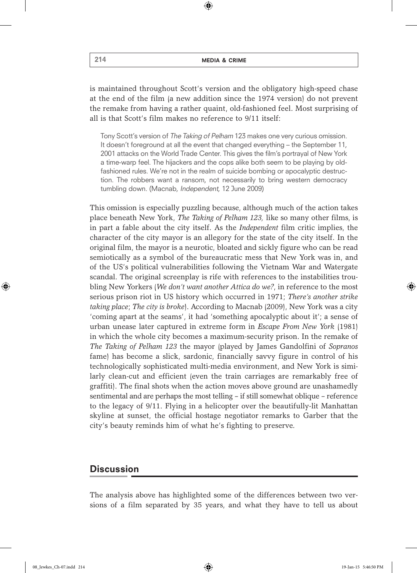| 214 | <b>MEDIA &amp; CRIME</b> |
|-----|--------------------------|
|     |                          |

 $\textcircled{\scriptsize{*}}$ 

is maintained throughout Scott's version and the obligatory high-speed chase at the end of the film (a new addition since the 1974 version) do not prevent the remake from having a rather quaint, old-fashioned feel. Most surprising of all is that Scott's film makes no reference to 9/11 itself:

Tony Scott's version of The Taking of Pelham 123 makes one very curious omission. It doesn't foreground at all the event that changed everything – the September 11, 2001 attacks on the World Trade Center. This gives the film's portrayal of New York a time-warp feel. The hijackers and the cops alike both seem to be playing by oldfashioned rules. We're not in the realm of suicide bombing or apocalyptic destruction. The robbers want a ransom, not necessarily to bring western democracy tumbling down. (Macnab, Independent, 12 June 2009)

This omission is especially puzzling because, although much of the action takes place beneath New York, *The Taking of Pelham 123,* like so many other films, is in part a fable about the city itself. As the *Independent* film critic implies, the character of the city mayor is an allegory for the state of the city itself. In the original film, the mayor is a neurotic, bloated and sickly figure who can be read semiotically as a symbol of the bureaucratic mess that New York was in, and of the US's political vulnerabilities following the Vietnam War and Watergate scandal. The original screenplay is rife with references to the instabilities troubling New Yorkers (*We don't want another Attica do we?*, in reference to the most serious prison riot in US history which occurred in 1971; *There's another strike taking place*; *The city is broke*). According to Macnab (2009), New York was a city 'coming apart at the seams', it had 'something apocalyptic about it'; a sense of urban unease later captured in extreme form in *Escape From New York* (1981) in which the whole city becomes a maximum-security prison. In the remake of *The Taking of Pelham 123* the mayor (played by James Gandolfini of *Sopranos*  fame) has become a slick, sardonic, financially savvy figure in control of his technologically sophisticated multi-media environment, and New York is similarly clean-cut and efficient (even the train carriages are remarkably free of graffiti). The final shots when the action moves above ground are unashamedly sentimental and are perhaps the most telling – if still somewhat oblique – reference to the legacy of 9/11. Flying in a helicopter over the beautifully-lit Manhattan skyline at sunset, the official hostage negotiator remarks to Garber that the city's beauty reminds him of what he's fighting to preserve.

## **Discussion**

The analysis above has highlighted some of the differences between two versions of a film separated by 35 years, and what they have to tell us about

♠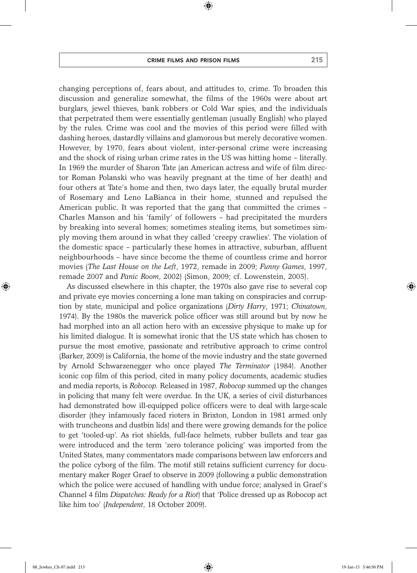⊕

changing perceptions of, fears about, and attitudes to, crime. To broaden this discussion and generalize somewhat, the films of the 1960s were about art burglars, jewel thieves, bank robbers or Cold War spies, and the individuals that perpetrated them were essentially gentleman (usually English) who played by the rules. Crime was cool and the movies of this period were filled with dashing heroes, dastardly villains and glamorous but merely decorative women. However, by 1970, fears about violent, inter-personal crime were increasing and the shock of rising urban crime rates in the US was hitting home – literally. In 1969 the murder of Sharon Tate (an American actress and wife of film director Roman Polanski who was heavily pregnant at the time of her death) and four others at Tate's home and then, two days later, the equally brutal murder of Rosemary and Leno LaBianca in their home, stunned and repulsed the American public. It was reported that the gang that committed the crimes – Charles Manson and his 'family' of followers – had precipitated the murders by breaking into several homes; sometimes stealing items, but sometimes simply moving them around in what they called 'creepy crawlies'. The violation of the domestic space – particularly these homes in attractive, suburban, affluent neighbourhoods – have since become the theme of countless crime and horror movies (*The Last House on the Left*, 1972, remade in 2009; *Funny Games*, 1997, remade 2007 and *Panic Room*, 2002) (Simon, 2009; cf. Lowenstein, 2005).

As discussed elsewhere in this chapter, the 1970s also gave rise to several cop and private eye movies concerning a lone man taking on conspiracies and corruption by state, municipal and police organizations (*Dirty Harry*, 1971; *Chinatown*, 1974). By the 1980s the maverick police officer was still around but by now he had morphed into an all action hero with an excessive physique to make up for his limited dialogue. It is somewhat ironic that the US state which has chosen to pursue the most emotive, passionate and retributive approach to crime control (Barker, 2009) is California, the home of the movie industry and the state governed by Arnold Schwarzenegger who once played *The Terminator* (1984). Another iconic cop film of this period, cited in many policy documents, academic studies and media reports, is *Robocop.* Released in 1987, *Robocop* summed up the changes in policing that many felt were overdue. In the UK, a series of civil disturbances had demonstrated how ill-equipped police officers were to deal with large-scale disorder (they infamously faced rioters in Brixton, London in 1981 armed only with truncheons and dustbin lids) and there were growing demands for the police to get 'tooled-up'. As riot shields, full-face helmets, rubber bullets and tear gas were introduced and the term 'zero tolerance policing' was imported from the United States, many commentators made comparisons between law enforcers and the police cyborg of the film. The motif still retains sufficient currency for documentary maker Roger Graef to observe in 2009 (following a public demonstration which the police were accused of handling with undue force; analysed in Graef's Channel 4 film *Dispatches: Ready for a Riot*) that 'Police dressed up as Robocop act like him too' (*Independent*, 18 October 2009).

♠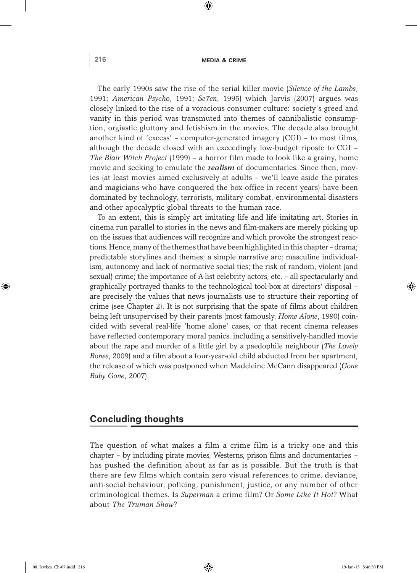216 media and the MEDIA & CRIME

 $\textcircled{\scriptsize{*}}$ 

The early 1990s saw the rise of the serial killer movie (*Silence of the Lambs*, 1991; *American Psycho*, 1991; *Se7en*, 1995) which Jarvis (2007) argues was closely linked to the rise of a voracious consumer culture: society's greed and vanity in this period was transmuted into themes of cannibalistic consumption, orgiastic gluttony and fetishism in the movies. The decade also brought another kind of 'excess' – computer-generated imagery (CGI) – to most films, although the decade closed with an exceedingly low-budget riposte to CGI – *The Blair Witch Project* (1999) – a horror film made to look like a grainy, home movie and seeking to emulate the *realism* of documentaries. Since then, movies (at least movies aimed exclusively at adults – we'll leave aside the pirates and magicians who have conquered the box office in recent years) have been dominated by technology, terrorists, military combat, environmental disasters and other apocalyptic global threats to the human race.

To an extent, this is simply art imitating life and life imitating art. Stories in cinema run parallel to stories in the news and film-makers are merely picking up on the issues that audiences will recognize and which provoke the strongest reactions. Hence, many of the themes that have been highlighted in this chapter – drama; predictable storylines and themes; a simple narrative arc; masculine individualism, autonomy and lack of normative social ties; the risk of random, violent (and sexual) crime; the importance of A-list celebrity actors, etc. – all spectacularly and graphically portrayed thanks to the technological tool-box at directors' disposal – are precisely the values that news journalists use to structure their reporting of crime (see Chapter 2). It is not surprising that the spate of films about children being left unsupervised by their parents (most famously, *Home Alone*, 1990) coincided with several real-life 'home alone' cases, or that recent cinema releases have reflected contemporary moral panics, including a sensitively-handled movie about the rape and murder of a little girl by a paedophile neighbour (*The Lovely Bones*, 2009) and a film about a four-year-old child abducted from her apartment, the release of which was postponed when Madeleine McCann disappeared (*Gone Baby Gone*, 2007).

# Concluding thoughts

The question of what makes a film a crime film is a tricky one and this chapter – by including pirate movies, Westerns, prison films and documentaries – has pushed the definition about as far as is possible. But the truth is that there are few films which contain zero visual references to crime, deviance, anti-social behaviour, policing, punishment, justice, or any number of other criminological themes. Is *Superman* a crime film? Or *Some Like It Hot*? What about *The Truman Show*?

♠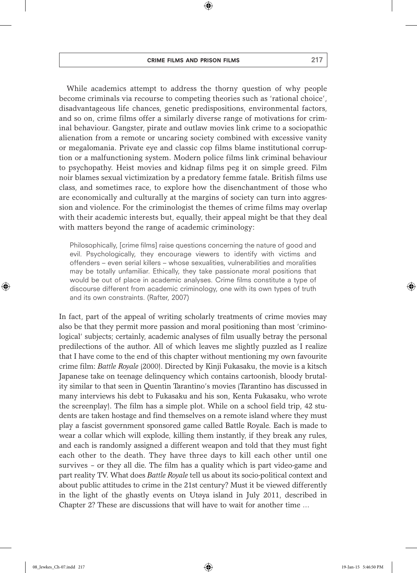⊕

While academics attempt to address the thorny question of why people become criminals via recourse to competing theories such as 'rational choice', disadvantageous life chances, genetic predispositions, environmental factors, and so on, crime films offer a similarly diverse range of motivations for criminal behaviour. Gangster, pirate and outlaw movies link crime to a sociopathic alienation from a remote or uncaring society combined with excessive vanity or megalomania. Private eye and classic cop films blame institutional corruption or a malfunctioning system. Modern police films link criminal behaviour to psychopathy. Heist movies and kidnap films peg it on simple greed. Film noir blames sexual victimization by a predatory femme fatale. British films use class, and sometimes race, to explore how the disenchantment of those who are economically and culturally at the margins of society can turn into aggression and violence. For the criminologist the themes of crime films may overlap with their academic interests but, equally, their appeal might be that they deal with matters beyond the range of academic criminology:

Philosophically, [crime films] raise questions concerning the nature of good and evil. Psychologically, they encourage viewers to identify with victims and offenders – even serial killers – whose sexualities, vulnerabilities and moralities may be totally unfamiliar. Ethically, they take passionate moral positions that would be out of place in academic analyses. Crime films constitute a type of discourse different from academic criminology, one with its own types of truth and its own constraints. (Rafter, 2007)

In fact, part of the appeal of writing scholarly treatments of crime movies may also be that they permit more passion and moral positioning than most 'criminological' subjects; certainly, academic analyses of film usually betray the personal predilections of the author. All of which leaves me slightly puzzled as I realize that I have come to the end of this chapter without mentioning my own favourite crime film: *Battle Royale* (2000). Directed by Kinji Fukasaku, the movie is a kitsch Japanese take on teenage delinquency which contains cartoonish, bloody brutality similar to that seen in Quentin Tarantino's movies (Tarantino has discussed in many interviews his debt to Fukasaku and his son, Kenta Fukasaku, who wrote the screenplay). The film has a simple plot. While on a school field trip, 42 students are taken hostage and find themselves on a remote island where they must play a fascist government sponsored game called Battle Royale. Each is made to wear a collar which will explode, killing them instantly, if they break any rules, and each is randomly assigned a different weapon and told that they must fight each other to the death. They have three days to kill each other until one survives – or they all die. The film has a quality which is part video-game and part reality TV. What does *Battle Royale* tell us about its socio-political context and about public attitudes to crime in the 21st century? Must it be viewed differently in the light of the ghastly events on Utøya island in July 2011, described in Chapter 2? These are discussions that will have to wait for another time …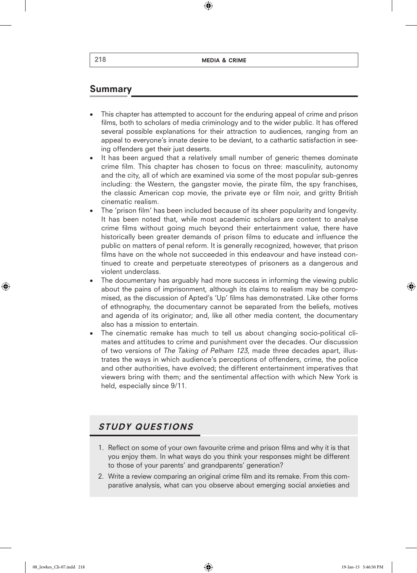#### 218 media & crime and media & crime

 $\textcircled{\scriptsize{*}}$ 

# Summary

- This chapter has attempted to account for the enduring appeal of crime and prison films, both to scholars of media criminology and to the wider public. It has offered several possible explanations for their attraction to audiences, ranging from an appeal to everyone's innate desire to be deviant, to a cathartic satisfaction in seeing offenders get their just deserts.
- It has been argued that a relatively small number of generic themes dominate crime film. This chapter has chosen to focus on three: masculinity, autonomy and the city, all of which are examined via some of the most popular sub-genres including: the Western, the gangster movie, the pirate film, the spy franchises, the classic American cop movie, the private eye or film noir, and gritty British cinematic realism.
- The 'prison film' has been included because of its sheer popularity and longevity. It has been noted that, while most academic scholars are content to analyse crime films without going much beyond their entertainment value, there have historically been greater demands of prison films to educate and influence the public on matters of penal reform. It is generally recognized, however, that prison films have on the whole not succeeded in this endeavour and have instead continued to create and perpetuate stereotypes of prisoners as a dangerous and violent underclass.
- The documentary has arguably had more success in informing the viewing public about the pains of imprisonment, although its claims to realism may be compromised, as the discussion of Apted's 'Up' films has demonstrated. Like other forms of ethnography, the documentary cannot be separated from the beliefs, motives and agenda of its originator; and, like all other media content, the documentary also has a mission to entertain.
- The cinematic remake has much to tell us about changing socio-political climates and attitudes to crime and punishment over the decades. Our discussion of two versions of The Taking of Pelham 123, made three decades apart, illustrates the ways in which audience's perceptions of offenders, crime, the police and other authorities, have evolved; the different entertainment imperatives that viewers bring with them; and the sentimental affection with which New York is held, especially since 9/11.

# STUDY QUESTIONS

- 1. Reflect on some of your own favourite crime and prison films and why it is that you enjoy them. In what ways do you think your responses might be different to those of your parents' and grandparents' generation?
- 2. Write a review comparing an original crime film and its remake. From this comparative analysis, what can you observe about emerging social anxieties and

♠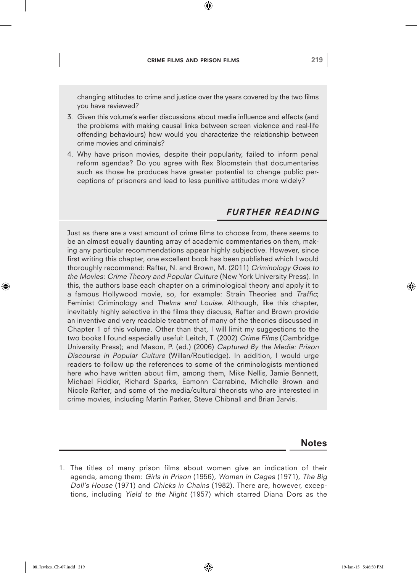$\textcircled{\scriptsize{*}}$ 

changing attitudes to crime and justice over the years covered by the two films you have reviewed?

- 3. Given this volume's earlier discussions about media influence and effects (and the problems with making causal links between screen violence and real-life offending behaviours) how would you characterize the relationship between crime movies and criminals?
- 4. Why have prison movies, despite their popularity, failed to inform penal reform agendas? Do you agree with Rex Bloomstein that documentaries such as those he produces have greater potential to change public perceptions of prisoners and lead to less punitive attitudes more widely?

# FURTHER READING

Just as there are a vast amount of crime films to choose from, there seems to be an almost equally daunting array of academic commentaries on them, making any particular recommendations appear highly subjective. However, since first writing this chapter, one excellent book has been published which I would thoroughly recommend: Rafter, N. and Brown, M. (2011) Criminology Goes to the Movies: Crime Theory and Popular Culture (New York University Press). In this, the authors base each chapter on a criminological theory and apply it to a famous Hollywood movie, so, for example: Strain Theories and Traffic; Feminist Criminology and Thelma and Louise. Although, like this chapter, inevitably highly selective in the films they discuss, Rafter and Brown provide an inventive and very readable treatment of many of the theories discussed in Chapter 1 of this volume. Other than that, I will limit my suggestions to the two books I found especially useful: Leitch, T. (2002) Crime Films (Cambridge University Press); and Mason, P. (ed.) (2006) Captured By the Media: Prison Discourse in Popular Culture (Willan/Routledge). In addition, I would urge readers to follow up the references to some of the criminologists mentioned here who have written about film, among them, Mike Nellis, Jamie Bennett, Michael Fiddler, Richard Sparks, Eamonn Carrabine, Michelle Brown and Nicole Rafter; and some of the media/cultural theorists who are interested in crime movies, including Martin Parker, Steve Chibnall and Brian Jarvis.

### **Notes**

1. The titles of many prison films about women give an indication of their agenda, among them: Girls in Prison (1956), Women in Cages (1971), The Big Doll's House (1971) and Chicks in Chains (1982). There are, however, exceptions, including Yield to the Night (1957) which starred Diana Dors as the

⊕